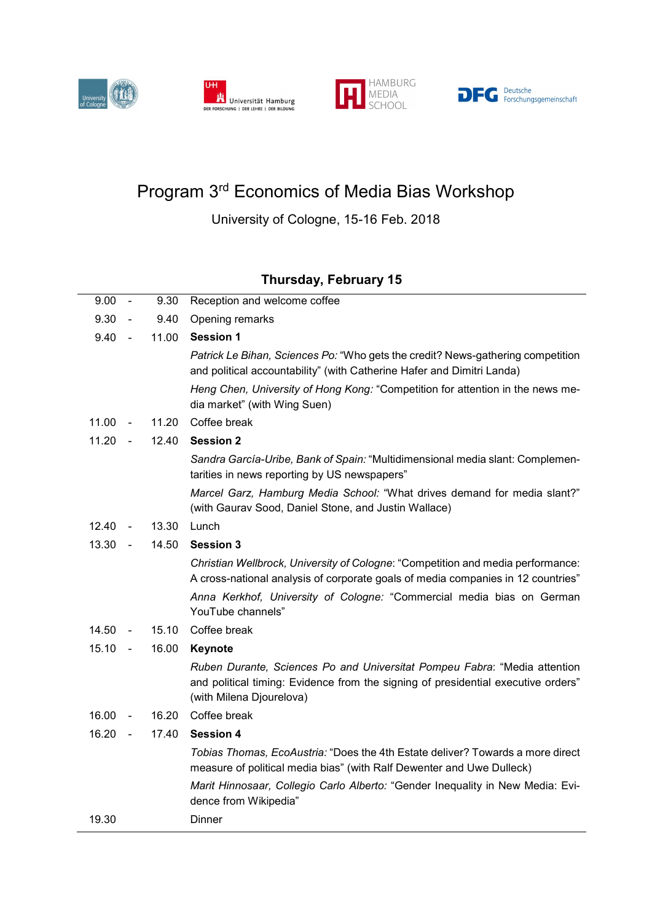







## Program 3rd Economics of Media Bias Workshop

University of Cologne, 15-16 Feb. 2018

## Thursday, February 15

| 9.30<br>9.40<br>Opening remarks<br>$\sim$<br>9.40<br>11.00<br><b>Session 1</b><br>$\sim$<br>Patrick Le Bihan, Sciences Po: "Who gets the credit? News-gathering competition<br>and political accountability" (with Catherine Hafer and Dimitri Landa)<br>Heng Chen, University of Hong Kong: "Competition for attention in the news me-<br>dia market" (with Wing Suen)<br>11.00<br>11.20<br>Coffee break<br>$\overline{\phantom{a}}$<br>11.20<br><b>Session 2</b><br>12.40<br>Sandra García-Uribe, Bank of Spain: "Multidimensional media slant: Complemen-<br>tarities in news reporting by US newspapers"<br>Marcel Garz, Hamburg Media School: "What drives demand for media slant?"<br>(with Gaurav Sood, Daniel Stone, and Justin Wallace)<br>12.40<br>13.30<br>Lunch<br>$\overline{\phantom{a}}$<br>13.30<br>14.50<br><b>Session 3</b><br>$\sim$<br>Christian Wellbrock, University of Cologne: "Competition and media performance:<br>A cross-national analysis of corporate goals of media companies in 12 countries"<br>Anna Kerkhof, University of Cologne: "Commercial media bias on German<br>YouTube channels"<br>Coffee break<br>14.50<br>15.10<br>15.10<br>16.00<br>Keynote<br>$\sim$<br>Ruben Durante, Sciences Po and Universitat Pompeu Fabra: "Media attention<br>and political timing: Evidence from the signing of presidential executive orders"<br>(with Milena Djourelova)<br>Coffee break<br>16.00<br>16.20<br>$\overline{\phantom{a}}$<br>16.20<br>17.40<br><b>Session 4</b><br>Tobias Thomas, EcoAustria: "Does the 4th Estate deliver? Towards a more direct<br>measure of political media bias" (with Ralf Dewenter and Uwe Dulleck)<br>Marit Hinnosaar, Collegio Carlo Alberto: "Gender Inequality in New Media: Evi-<br>dence from Wikipedia"<br>19.30<br>Dinner | 9.00 | $\sim$ | 9.30 | Reception and welcome coffee |
|--------------------------------------------------------------------------------------------------------------------------------------------------------------------------------------------------------------------------------------------------------------------------------------------------------------------------------------------------------------------------------------------------------------------------------------------------------------------------------------------------------------------------------------------------------------------------------------------------------------------------------------------------------------------------------------------------------------------------------------------------------------------------------------------------------------------------------------------------------------------------------------------------------------------------------------------------------------------------------------------------------------------------------------------------------------------------------------------------------------------------------------------------------------------------------------------------------------------------------------------------------------------------------------------------------------------------------------------------------------------------------------------------------------------------------------------------------------------------------------------------------------------------------------------------------------------------------------------------------------------------------------------------------------------------------------------------------------------------------------------------------------------------------------------------|------|--------|------|------------------------------|
|                                                                                                                                                                                                                                                                                                                                                                                                                                                                                                                                                                                                                                                                                                                                                                                                                                                                                                                                                                                                                                                                                                                                                                                                                                                                                                                                                                                                                                                                                                                                                                                                                                                                                                                                                                                                  |      |        |      |                              |
|                                                                                                                                                                                                                                                                                                                                                                                                                                                                                                                                                                                                                                                                                                                                                                                                                                                                                                                                                                                                                                                                                                                                                                                                                                                                                                                                                                                                                                                                                                                                                                                                                                                                                                                                                                                                  |      |        |      |                              |
|                                                                                                                                                                                                                                                                                                                                                                                                                                                                                                                                                                                                                                                                                                                                                                                                                                                                                                                                                                                                                                                                                                                                                                                                                                                                                                                                                                                                                                                                                                                                                                                                                                                                                                                                                                                                  |      |        |      |                              |
|                                                                                                                                                                                                                                                                                                                                                                                                                                                                                                                                                                                                                                                                                                                                                                                                                                                                                                                                                                                                                                                                                                                                                                                                                                                                                                                                                                                                                                                                                                                                                                                                                                                                                                                                                                                                  |      |        |      |                              |
|                                                                                                                                                                                                                                                                                                                                                                                                                                                                                                                                                                                                                                                                                                                                                                                                                                                                                                                                                                                                                                                                                                                                                                                                                                                                                                                                                                                                                                                                                                                                                                                                                                                                                                                                                                                                  |      |        |      |                              |
|                                                                                                                                                                                                                                                                                                                                                                                                                                                                                                                                                                                                                                                                                                                                                                                                                                                                                                                                                                                                                                                                                                                                                                                                                                                                                                                                                                                                                                                                                                                                                                                                                                                                                                                                                                                                  |      |        |      |                              |
|                                                                                                                                                                                                                                                                                                                                                                                                                                                                                                                                                                                                                                                                                                                                                                                                                                                                                                                                                                                                                                                                                                                                                                                                                                                                                                                                                                                                                                                                                                                                                                                                                                                                                                                                                                                                  |      |        |      |                              |
|                                                                                                                                                                                                                                                                                                                                                                                                                                                                                                                                                                                                                                                                                                                                                                                                                                                                                                                                                                                                                                                                                                                                                                                                                                                                                                                                                                                                                                                                                                                                                                                                                                                                                                                                                                                                  |      |        |      |                              |
|                                                                                                                                                                                                                                                                                                                                                                                                                                                                                                                                                                                                                                                                                                                                                                                                                                                                                                                                                                                                                                                                                                                                                                                                                                                                                                                                                                                                                                                                                                                                                                                                                                                                                                                                                                                                  |      |        |      |                              |
|                                                                                                                                                                                                                                                                                                                                                                                                                                                                                                                                                                                                                                                                                                                                                                                                                                                                                                                                                                                                                                                                                                                                                                                                                                                                                                                                                                                                                                                                                                                                                                                                                                                                                                                                                                                                  |      |        |      |                              |
|                                                                                                                                                                                                                                                                                                                                                                                                                                                                                                                                                                                                                                                                                                                                                                                                                                                                                                                                                                                                                                                                                                                                                                                                                                                                                                                                                                                                                                                                                                                                                                                                                                                                                                                                                                                                  |      |        |      |                              |
|                                                                                                                                                                                                                                                                                                                                                                                                                                                                                                                                                                                                                                                                                                                                                                                                                                                                                                                                                                                                                                                                                                                                                                                                                                                                                                                                                                                                                                                                                                                                                                                                                                                                                                                                                                                                  |      |        |      |                              |
|                                                                                                                                                                                                                                                                                                                                                                                                                                                                                                                                                                                                                                                                                                                                                                                                                                                                                                                                                                                                                                                                                                                                                                                                                                                                                                                                                                                                                                                                                                                                                                                                                                                                                                                                                                                                  |      |        |      |                              |
|                                                                                                                                                                                                                                                                                                                                                                                                                                                                                                                                                                                                                                                                                                                                                                                                                                                                                                                                                                                                                                                                                                                                                                                                                                                                                                                                                                                                                                                                                                                                                                                                                                                                                                                                                                                                  |      |        |      |                              |
|                                                                                                                                                                                                                                                                                                                                                                                                                                                                                                                                                                                                                                                                                                                                                                                                                                                                                                                                                                                                                                                                                                                                                                                                                                                                                                                                                                                                                                                                                                                                                                                                                                                                                                                                                                                                  |      |        |      |                              |
|                                                                                                                                                                                                                                                                                                                                                                                                                                                                                                                                                                                                                                                                                                                                                                                                                                                                                                                                                                                                                                                                                                                                                                                                                                                                                                                                                                                                                                                                                                                                                                                                                                                                                                                                                                                                  |      |        |      |                              |
|                                                                                                                                                                                                                                                                                                                                                                                                                                                                                                                                                                                                                                                                                                                                                                                                                                                                                                                                                                                                                                                                                                                                                                                                                                                                                                                                                                                                                                                                                                                                                                                                                                                                                                                                                                                                  |      |        |      |                              |
|                                                                                                                                                                                                                                                                                                                                                                                                                                                                                                                                                                                                                                                                                                                                                                                                                                                                                                                                                                                                                                                                                                                                                                                                                                                                                                                                                                                                                                                                                                                                                                                                                                                                                                                                                                                                  |      |        |      |                              |
|                                                                                                                                                                                                                                                                                                                                                                                                                                                                                                                                                                                                                                                                                                                                                                                                                                                                                                                                                                                                                                                                                                                                                                                                                                                                                                                                                                                                                                                                                                                                                                                                                                                                                                                                                                                                  |      |        |      |                              |
|                                                                                                                                                                                                                                                                                                                                                                                                                                                                                                                                                                                                                                                                                                                                                                                                                                                                                                                                                                                                                                                                                                                                                                                                                                                                                                                                                                                                                                                                                                                                                                                                                                                                                                                                                                                                  |      |        |      |                              |
|                                                                                                                                                                                                                                                                                                                                                                                                                                                                                                                                                                                                                                                                                                                                                                                                                                                                                                                                                                                                                                                                                                                                                                                                                                                                                                                                                                                                                                                                                                                                                                                                                                                                                                                                                                                                  |      |        |      |                              |